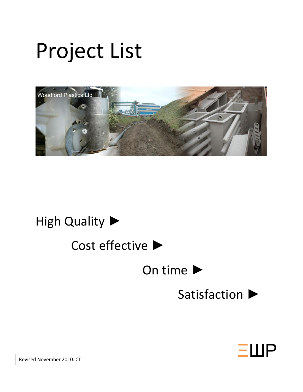# Project List



### High Quality ▶

## Cost effective ►

### On time ▶

### Satisfaction ▶



Revised November 2010. CT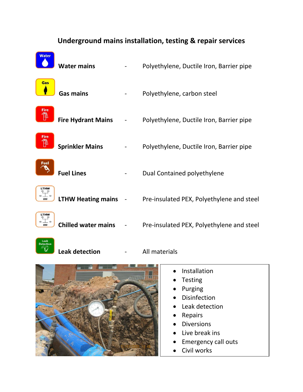|       | Underground mains installation, testing & repair services |  |                                           |  |  |
|-------|-----------------------------------------------------------|--|-------------------------------------------|--|--|
| Water | <b>Water mains</b>                                        |  | Polyethylene, Ductile Iron, Barrier pipe  |  |  |
| Gas   | <b>Gas mains</b>                                          |  | Polyethylene, carbon steel                |  |  |
| Fire  | <b>Fire Hydrant Mains</b>                                 |  | Polyethylene, Ductile Iron, Barrier pipe  |  |  |
| Fire  | <b>Sprinkler Mains</b>                                    |  | Polyethylene, Ductile Iron, Barrier pipe  |  |  |
| Fuel  | <b>Fuel Lines</b>                                         |  | Dual Contained polyethylene               |  |  |
|       | <b>LTHW Heating mains</b>                                 |  | Pre-insulated PEX, Polyethylene and steel |  |  |
|       | <b>Chilled water mains</b>                                |  | Pre-insulated PEX, Polyethylene and steel |  |  |
|       | <b>Leak detection</b>                                     |  | All materials                             |  |  |



- Installation
- Testing
- Purging
- Disinfection
- Leak detection
- Repairs
- Diversions
- Live break ins
- Emergency call outs
- Civil works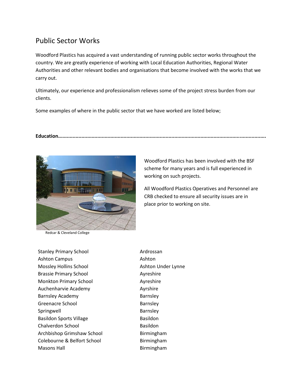#### Public Sector Works

Woodford Plastics has acquired a vast understanding of running public sector works throughout the country. We are greatly experience of working with Local Education Authorities, Regional Water Authorities and other relevant bodies and organisations that become involved with the works that we carry out.

Ultimately, our experience and professionalism relieves some of the project stress burden from our clients.

Some examples of where in the public sector that we have worked are listed below;

**Education...............................................................................................................................................**



Redcar & Cleveland College

Woodford Plastics has been involved with the BSF scheme for many years and is full experienced in working on such projects.

All Woodford Plastics Operatives and Personnel are CRB checked to ensure all security issues are in place prior to working on site.

Stanley Primary School **Ardrossan** Ashton Campus **Ashton** Mossley Hollins School Ashton Under Lynne Brassie Primary School **Ayreshire** Monkton Primary School **Ayreshire** Auchenharvie Academy **Auchenharvie Academy** Ayrshire Barnsley Academy **Barnsley** Greenacre School Barnsley Springwell **Barnsley** Basildon Sports Village Basildon Chalverdon School Basildon Archbishop Grimshaw School Birmingham Colebourne & Belfort School Birmingham Masons Hall **Birmingham**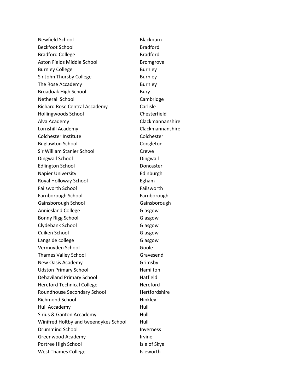Newfield School and Blackburn Beckfoot School and Bradford Bradford Bradford College **Bradford** Aston Fields Middle School Bromgrove Burnley College **Burnley** Sir John Thursby College Burnley The Rose Accademy **Burnley** Broadoak High School Bury Netherall School Cambridge Richard Rose Central Accademy Carlisle Hollingwoods School **Chesterfield** Alva Academy Clackmannanshire Lornshill Academy Clackmannanshire Colchester Institute Colchester Buglawton School Congleton Sir William Stanier School Crewe Dingwall School **Dingwall** Edlington School Doncaster Napier University **Edinburgh** Royal Holloway School **Egham** Failsworth School **Failsworth** Farnborough School Farnborough Gainsborough School Gainsborough Anniesland College **Glasgow** Glasgow Bonny Rigg School **Glasgow** Clydebank School Glasgow Cuiken School Glasgow Langside college Contract College College College College College College College College College College College College College College College College College College College College College College College College Coll Vermuyden School Goole Goole Thames Valley School Gravesend New Oasis Academy Grimsby Udston Primary School Hamilton Dehaviland Primary School Hatfield Hereford Technical College Hereford Roundhouse Secondary School Hertfordshire Richmond School Hinkley Hull Accademy **Hull** Sirius & Ganton Accademy Full Winifred Holtby and tweendykes School Hull Drummind School and Inverness Greenwood Academy **Irvine** Portree High School and Isle of Skye West Thames College **Isleworth**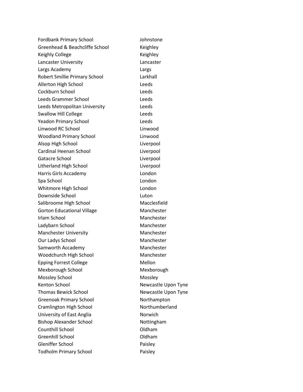Fordbank Primary School Johnstone Greenhead & Beachcliffe School Keighley Keighly College **Keighley** Keighley Lancaster University Lancaster Largs Academy Largs Robert Smillie Primary School Larkhall Allerton High School **Leeds** Cockburn School Leeds Leeds Grammer School Leeds Leeds Metropolitan University Leeds Swallow Hill College **Leeds** Yeadon Primary School Leeds Linwood RC School Linwood Woodland Primary School **Linwood** Alsop High School Liverpool Cardinal Heenan School Liverpool Gatacre School Liverpool Litherland High School Liverpool Harris Girls Accademy **London** Spa School and London London Whitmore High School **London** Downside School Luton Salibroome High School Macclesfield Gorton Educational Village Manchester Irlam School Manchester Ladybarn School Manchester Manchester University Manchester Our Ladys School Manchester Samworth Accademy Manchester Woodchurch High School Manchester Epping Forrest College Mellon Mexborough School Mexborough Mossley School Mossley Kenton School Newcastle Upon Tyne Thomas Bewick School Newcastle Upon Tyne Greenoak Primary School Northampton Cramlington High School Northumberland University of East Anglia Norwich Bishop Alexander School Nottingham Counthill School **Countill** School **Countill** School Greenhill School **Contact Contact Contact Contact Contact Contact Contact Contact Contact Contact Contact Contact Contact Contact Contact Contact Contact Contact Contact Contact Contact Contact Contact Contact Contact Cont** Gleniffer School Paisley Todholm Primary School Paisley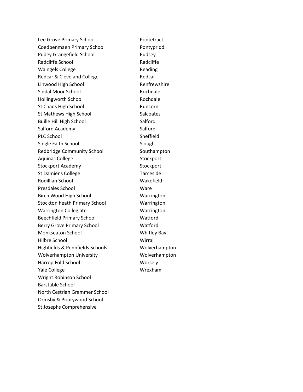Lee Grove Primary School **Pontefract** Coedpenmaen Primary School Pontypridd Pudey Grangefield School Pudsey Radcliffe School **Radcliffe** Waingels College **Reading** Reading Redcar & Cleveland College Redcar Linwood High School **Renfrewshire** Siddal Moor School Rochdale Hollingworth School Rochdale St Chads High School Runcorn St Mathews High School Salcoates Buille Hill High School Salford Salford Academy Salford PLC School Sheffield Single Faith School Slough Redbridge Community School Southampton Aquinas College **Stockport** Stockport Stockport Academy Stockport St Damiens College Tameside Rodillian School November 2012 1994 Presdales School Nare Birch Wood High School Warrington Stockton heath Primary School Warrington Warrington Collegiate **Warrington** Beechfield Primary School Watford Berry Grove Primary School Watford Monkseaton School **Monkseaton School** Whitley Bay Hilbre School Wirral Highfields & Pennfields Schools Wolverhampton Wolverhampton University Molverhampton Harrop Fold School Worsely Yale College Wrexham Wright Robinson School Barstable School North Cestrian Grammer School Ormsby & Priorywood School St Josephs Comprehensive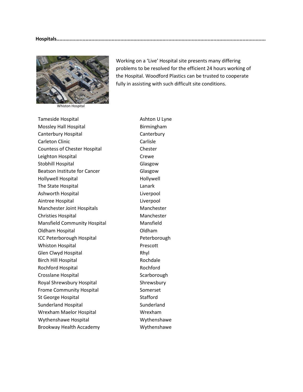

Whiston Hospital

Working on a 'Live' Hospital site presents many differing problems to be resolved for the efficient 24 hours working of the Hospital. Woodford Plastics can be trusted to cooperate fully in assisting with such difficult site conditions.

Tameside Hospital **Ashton U Lyne** Mossley Hall Hospital **Birmingham** Canterbury Hospital Canterbury Carleton Clinic Carlisle Countess of Chester Hospital Chester Leighton Hospital **Crewe** Stobhill Hospital Glasgow Beatson Institute for Cancer **Glasgow** Hollywell Hospital **Hollywell** The State Hospital **Lanark** Lanark Ashworth Hospital **Liverpool** Aintree Hospital Liverpool Manchester Joint Hospitals Manchester Christies Hospital Manchester Mansfield Community Hospital Mansfield Oldham Hospital Oldham ICC Peterborough Hospital Peterborough Whiston Hospital **Prescott** Glen Clwyd Hospital **Rhyl** Birch Hill Hospital **Rochdale** Rochford Hospital **Rochford** Crosslane Hospital Scarborough Royal Shrewsbury Hospital Shrewsbury Frome Community Hospital Somerset St George Hospital Stafford Sunderland Hospital Sunderland Wrexham Maelor Hospital **Wrexham** Wythenshawe Hospital Wythenshawe Brookway Health Accademy Mythenshawe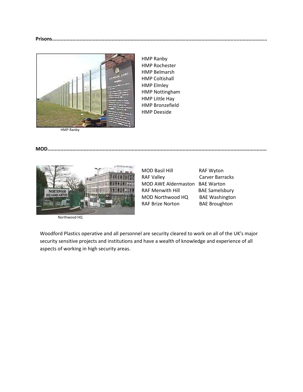

HMP Ranby HMP Rochester HMP Belmarsh HMP Coltishall HMP Elmley HMP Nottingham HMP Little Hay HMP Bronzefield HMP Deeside



Northwood HQ

**MOD.......................................................................................................................................................**

MOD Basil Hill RAF Wyton RAF Valley Carver Barracks MOD AWE Aldermaston BAE Warton RAF Menwith Hill BAE Samelsbury MOD Northwood HQ BAE Washington RAF Brize Norton BAE Broughton

Woodford Plastics operative and all personnel are security cleared to work on all of the UK's major security sensitive projects and institutions and have a wealth of knowledge and experience of all aspects of working in high security areas.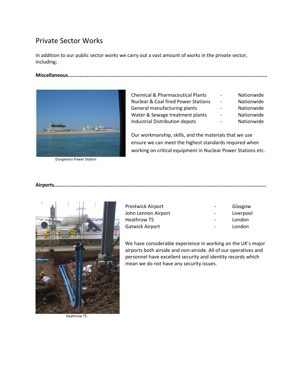#### Private Sector Works

In addition to our public sector works we carry out a vast amount of works in the private sector, including;

**Miscellaneous.........................................................................................................................................**



Dungeness Power Station

Chemical & Pharmaceutical Plants - Nationwide Nuclear & Coal fired Power Stations - Nationwide General manufacturing plants **Fig. 1.** Nationwide Water & Sewage treatment plants - Nationwide Industrial Distribution depots - Nationwide

Our workmanship, skills, and the materials that we use ensure we can meet the highest standards required when working on critical equipment in Nuclear Power Stations etc.

**Airports..................................................................................................................................................**



John Lennon Airport **1988** - Liverpool Heathrow T5 and the contract of the condon contract to the London Gatwick Airport **Canada Access 1966** For the London

Prestwick Airport **Contains Container Act Airport** of the Glasgow

We have considerable experience in working on the UK's major airports both airside and non-airside. All of our operatives and personnel have excellent security and identity records which mean we do not have any security issues.

Heathrow T5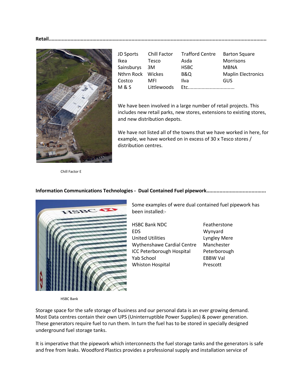**Retail......................................................................................................................................................**



| JD Sports         | Chill Factor | <b>Trafford Centre</b> | <b>Barton Square</b>      |
|-------------------|--------------|------------------------|---------------------------|
| <b>Ikea</b>       | Tesco        | Asda                   | Morrisons                 |
| Sainsburys        | 3M           | <b>HSBC</b>            | <b>MBNA</b>               |
| Nthrn Rock Wickes |              | <b>B&amp;Q</b>         | <b>Maplin Electronics</b> |
| Costco            | MFI          | Ilva                   | GUS                       |
| <b>M&amp;S</b>    | Littlewoods  | Ftc                    |                           |

We have been involved in a large number of retail projects. This includes new retail parks, new stores, extensions to existing stores, and new distribution depots.

We have not listed all of the towns that we have worked in here, for example, we have worked on in excess of 30 x Tesco stores / distribution centres.

Chill Factor E

#### **Information Communications Technologies - Dual Contained Fuel pipework.........................................**



Some examples of were dual contained fuel pipework has been installed:-

HSBC Bank NDC Featherstone EDS Wynyard United Utilities Lyngley Mere Wythenshawe Cardial Centre Manchester ICC Peterborough Hospital Peterborough Yab School EBBW Val Whiston Hospital Prescott

HSBC Bank

Storage space for the safe storage of business and our personal data is an ever growing demand. Most Data centres contain their own UPS (Uninterruptible Power Supplies) & power generation. These generators require fuel to run them. In turn the fuel has to be stored in specially designed underground fuel storage tanks.

It is imperative that the pipework which interconnects the fuel storage tanks and the generators is safe and free from leaks. Woodford Plastics provides a professional supply and installation service of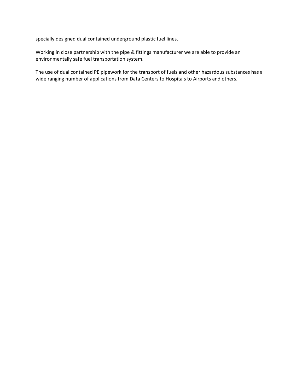specially designed dual contained underground plastic fuel lines.

Working in close partnership with the pipe & fittings manufacturer we are able to provide an environmentally safe fuel transportation system.

The use of dual contained PE pipework for the transport of fuels and other hazardous substances has a wide ranging number of applications from Data Centers to Hospitals to Airports and others.